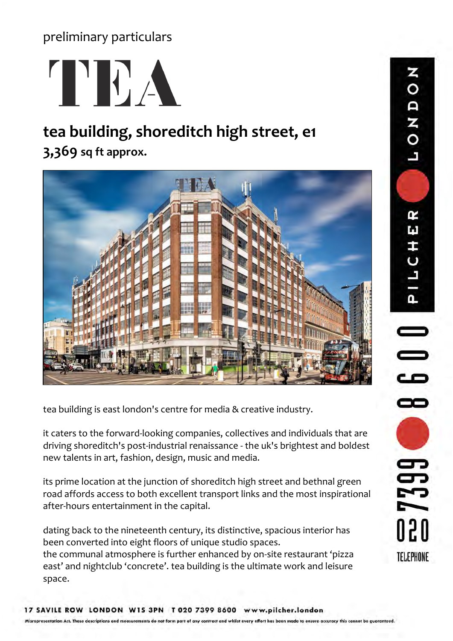preliminary particulars



# **tea building, shoreditch high street, e1**

**3,369 sq ft approx.**



tea building is east london's centre for media & creative industry.

it caters to the forward-looking companies, collectives and individuals that are driving shoreditch's post-industrial renaissance - the uk's brightest and boldest new talents in art, fashion, design, music and media.

its prime location at the junction of shoreditch high street and bethnal green road affords access to both excellent transport links and the most inspirational after-hours entertainment in the capital.

dating back to the nineteenth century, its distinctive, spacious interior has been converted into eight floors of unique studio spaces. the communal atmosphere is further enhanced by on-site restaurant 'pizza

east' and nightclub 'concrete'. tea building is the ultimate work and leisure space.

**DOADO** PILCHER **600** 7399 020 **TELEPHONE**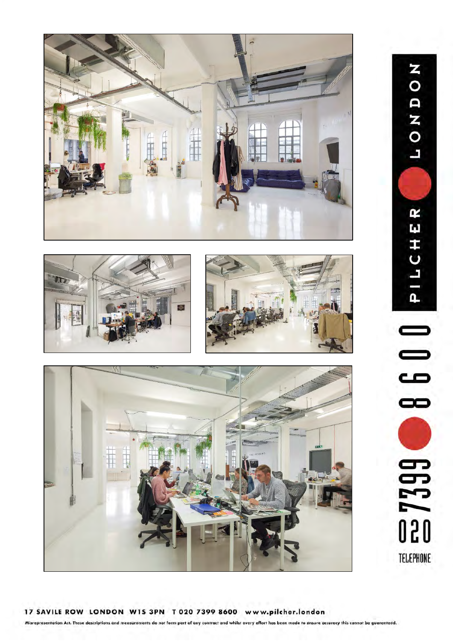





NONDON PILCHER œ **ED 7399** TELEPHONE